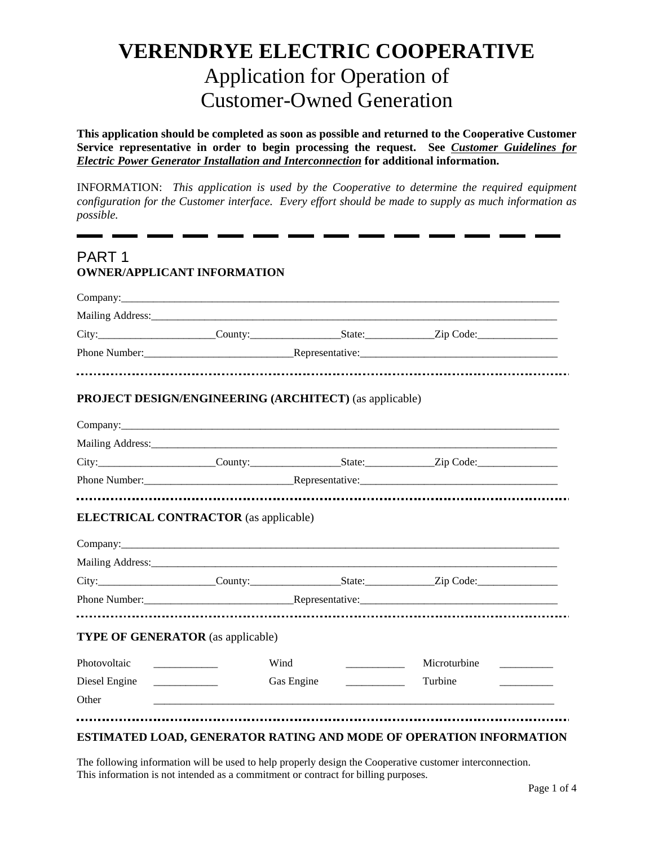# **VERENDRYE ELECTRIC COOPERATIVE**  Application for Operation of Customer-Owned Generation

**This application should be completed as soon as possible and returned to the Cooperative Customer Service representative in order to begin processing the request. See** *Customer Guidelines for Electric Power Generator Installation and Interconnection* **for additional information.**

INFORMATION: *This application is used by the Cooperative to determine the required equipment configuration for the Customer interface. Every effort should be made to supply as much information as possible.* 

# PART 1 **OWNER/APPLICANT INFORMATION**

|                                          | Company:                                                                                                                                                                                                                                                                                                                                                                                                                                                                                                             |              |  |
|------------------------------------------|----------------------------------------------------------------------------------------------------------------------------------------------------------------------------------------------------------------------------------------------------------------------------------------------------------------------------------------------------------------------------------------------------------------------------------------------------------------------------------------------------------------------|--------------|--|
|                                          | Mailing Address: 1997 and 2008 and 2008 and 2008 and 2008 and 2008 and 2008 and 2008 and 2008 and 2008 and 200                                                                                                                                                                                                                                                                                                                                                                                                       |              |  |
|                                          |                                                                                                                                                                                                                                                                                                                                                                                                                                                                                                                      |              |  |
|                                          |                                                                                                                                                                                                                                                                                                                                                                                                                                                                                                                      |              |  |
|                                          |                                                                                                                                                                                                                                                                                                                                                                                                                                                                                                                      |              |  |
|                                          | <b>PROJECT DESIGN/ENGINEERING (ARCHITECT) (as applicable)</b>                                                                                                                                                                                                                                                                                                                                                                                                                                                        |              |  |
|                                          |                                                                                                                                                                                                                                                                                                                                                                                                                                                                                                                      |              |  |
|                                          |                                                                                                                                                                                                                                                                                                                                                                                                                                                                                                                      |              |  |
|                                          |                                                                                                                                                                                                                                                                                                                                                                                                                                                                                                                      |              |  |
|                                          | City: City: County: County: County: County: City: City: City: Code: City: City: County: County: City: City: City: City: City: City: City: City: City: City: City: City: City: City: City: City: City: City: City: City: City:                                                                                                                                                                                                                                                                                        |              |  |
|                                          |                                                                                                                                                                                                                                                                                                                                                                                                                                                                                                                      |              |  |
|                                          | <b>ELECTRICAL CONTRACTOR</b> (as applicable)                                                                                                                                                                                                                                                                                                                                                                                                                                                                         |              |  |
|                                          | County: City: Code: Zip Code:                                                                                                                                                                                                                                                                                                                                                                                                                                                                                        |              |  |
|                                          |                                                                                                                                                                                                                                                                                                                                                                                                                                                                                                                      |              |  |
| <b>TYPE OF GENERATOR</b> (as applicable) |                                                                                                                                                                                                                                                                                                                                                                                                                                                                                                                      |              |  |
| Photovoltaic                             | Wind                                                                                                                                                                                                                                                                                                                                                                                                                                                                                                                 | Microturbine |  |
| Diesel Engine                            | Gas Engine<br>$\begin{tabular}{ccccc} \multicolumn{2}{c }{\textbf{\textcolor{blue}{\bf -1}}}&\multicolumn{2}{c }{\textbf{\textcolor{blue}{\bf -2}}}&\multicolumn{2}{c }{\textbf{\textcolor{blue}{\bf -2}}}&\multicolumn{2}{c }{\textbf{\textcolor{blue}{\bf -2}}}&\multicolumn{2}{c }{\textbf{\textcolor{blue}{\bf -2}}}&\multicolumn{2}{c }{\textbf{\textcolor{blue}{\bf -2}}}&\multicolumn{2}{c }{\textbf{\textcolor{blue}{\bf -2}}}&\multicolumn{2}{c }{\textbf{\textcolor{blue}{\bf -2}}}&\multicolumn{2}{c }{\$ | Turbine      |  |

#### **ESTIMATED LOAD, GENERATOR RATING AND MODE OF OPERATION INFORMATION**

The following information will be used to help properly design the Cooperative customer interconnection. This information is not intended as a commitment or contract for billing purposes.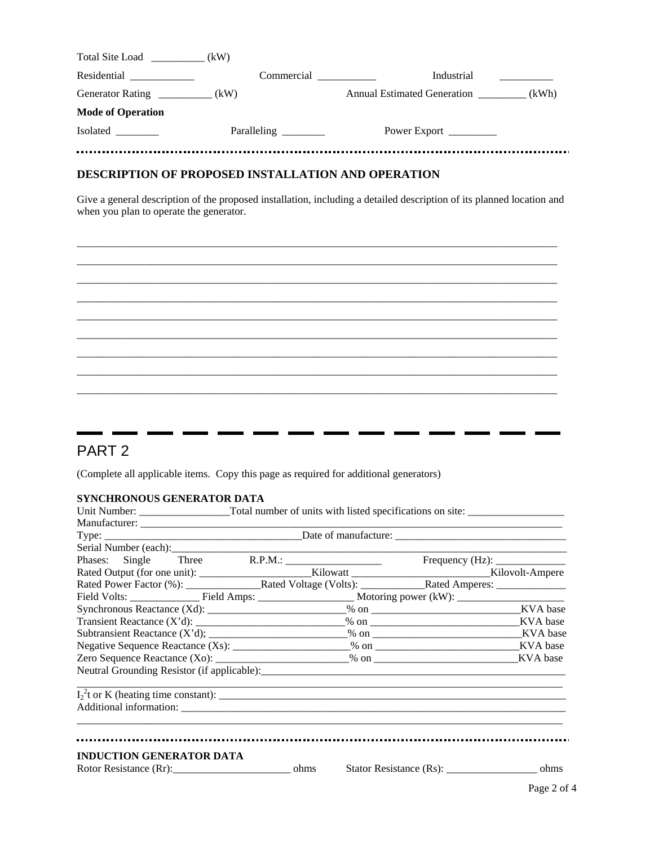| Total Site Load (kW)              |            |                                   |  |
|-----------------------------------|------------|-----------------------------------|--|
|                                   | Commercial | Industrial                        |  |
| Generator Rating ____________(kW) |            | Annual Estimated Generation (kWh) |  |
| <b>Mode of Operation</b>          |            |                                   |  |
| Isolated                          |            | Power Export __________           |  |
|                                   |            |                                   |  |

### **DESCRIPTION OF PROPOSED INSTALLATION AND OPERATION**

Give a general description of the proposed installation, including a detailed description of its planned location and when you plan to operate the generator.



# PART 2

(Complete all applicable items. Copy this page as required for additional generators)

 $\sim$ 

÷.

 $\mathbf{r}$ 

ä.

 $\blacksquare$  $\mathbf{r}$   $\blacksquare$ 

. .

--

and the state

 $\mathbf{r}$  $\overline{\phantom{a}}$ 

#### **SYNCHRONOUS GENERATOR DATA**

. .

. .

 $\blacksquare$ 

| Neutral Grounding Resistor (if applicable):                    |  |  |  |  |  |  |
|----------------------------------------------------------------|--|--|--|--|--|--|
|                                                                |  |  |  |  |  |  |
| <b>INDUCTION GENERATOR DATA</b><br>Rotor Resistance (Rr): ohms |  |  |  |  |  |  |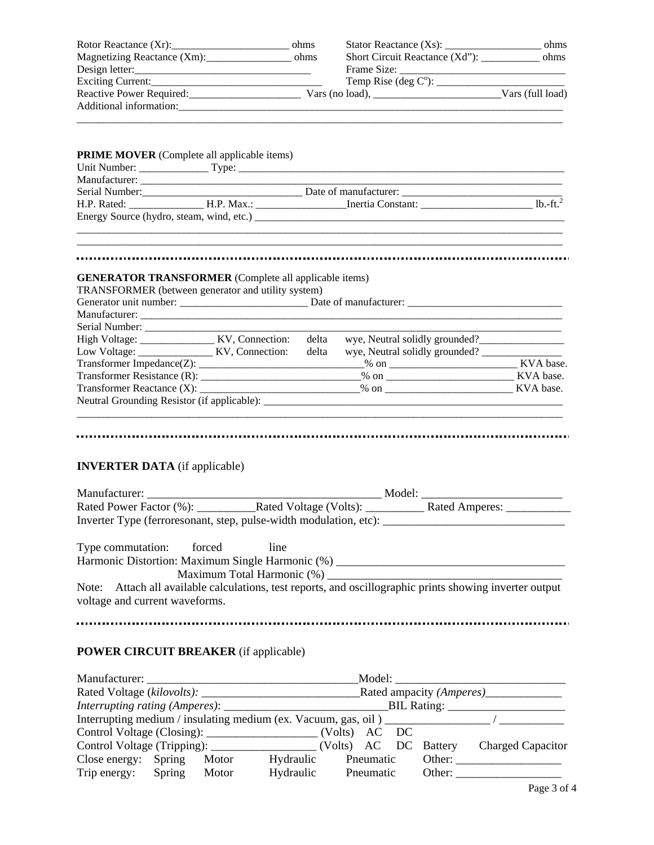| Magnetizing Reactance (Xm): ohms                                                                                                                                                                                                                            |      | Short Circuit Reactance (Xd"): ____________ ohms                                                                                                                                                                                                                                                                                                                                                                                                                                                                                                                                                                                                    |  |
|-------------------------------------------------------------------------------------------------------------------------------------------------------------------------------------------------------------------------------------------------------------|------|-----------------------------------------------------------------------------------------------------------------------------------------------------------------------------------------------------------------------------------------------------------------------------------------------------------------------------------------------------------------------------------------------------------------------------------------------------------------------------------------------------------------------------------------------------------------------------------------------------------------------------------------------------|--|
| Design letter:                                                                                                                                                                                                                                              |      |                                                                                                                                                                                                                                                                                                                                                                                                                                                                                                                                                                                                                                                     |  |
|                                                                                                                                                                                                                                                             |      | Frame Size: $\frac{1}{\text{Temp Rise (deg C)}:\qquad \qquad \text{Temp} \rightarrow \text{Poisson} \rightarrow \text{Poisson} \rightarrow \text{Poisson} \rightarrow \text{Poisson} \rightarrow \text{Poisson} \rightarrow \text{Poisson} \rightarrow \text{Poisson} \rightarrow \text{Poisson} \rightarrow \text{Poisson} \rightarrow \text{Poisson} \rightarrow \text{Poisson} \rightarrow \text{Poisson} \rightarrow \text{Poisson} \rightarrow \text{Poisson} \rightarrow \text{Poisson} \rightarrow \text{Poisson} \rightarrow \text{Poisson} \rightarrow \text{Poisson} \rightarrow \text{Poisson} \rightarrow \text{Poisson} \rightarrow \$ |  |
| Reactive Power Required: Vars (no load), Vars (no load), Vars (full load)                                                                                                                                                                                   |      |                                                                                                                                                                                                                                                                                                                                                                                                                                                                                                                                                                                                                                                     |  |
|                                                                                                                                                                                                                                                             |      |                                                                                                                                                                                                                                                                                                                                                                                                                                                                                                                                                                                                                                                     |  |
|                                                                                                                                                                                                                                                             |      |                                                                                                                                                                                                                                                                                                                                                                                                                                                                                                                                                                                                                                                     |  |
| <b>PRIME MOVER</b> (Complete all applicable items)                                                                                                                                                                                                          |      |                                                                                                                                                                                                                                                                                                                                                                                                                                                                                                                                                                                                                                                     |  |
|                                                                                                                                                                                                                                                             |      |                                                                                                                                                                                                                                                                                                                                                                                                                                                                                                                                                                                                                                                     |  |
|                                                                                                                                                                                                                                                             |      |                                                                                                                                                                                                                                                                                                                                                                                                                                                                                                                                                                                                                                                     |  |
|                                                                                                                                                                                                                                                             |      |                                                                                                                                                                                                                                                                                                                                                                                                                                                                                                                                                                                                                                                     |  |
|                                                                                                                                                                                                                                                             |      |                                                                                                                                                                                                                                                                                                                                                                                                                                                                                                                                                                                                                                                     |  |
|                                                                                                                                                                                                                                                             |      |                                                                                                                                                                                                                                                                                                                                                                                                                                                                                                                                                                                                                                                     |  |
| <b>GENERATOR TRANSFORMER</b> (Complete all applicable items)<br>TRANSFORMER (between generator and utility system)                                                                                                                                          |      |                                                                                                                                                                                                                                                                                                                                                                                                                                                                                                                                                                                                                                                     |  |
|                                                                                                                                                                                                                                                             |      |                                                                                                                                                                                                                                                                                                                                                                                                                                                                                                                                                                                                                                                     |  |
|                                                                                                                                                                                                                                                             |      |                                                                                                                                                                                                                                                                                                                                                                                                                                                                                                                                                                                                                                                     |  |
|                                                                                                                                                                                                                                                             |      |                                                                                                                                                                                                                                                                                                                                                                                                                                                                                                                                                                                                                                                     |  |
| High Voltage: KV, Connection: delta                                                                                                                                                                                                                         |      | wye, Neutral solidly grounded?                                                                                                                                                                                                                                                                                                                                                                                                                                                                                                                                                                                                                      |  |
| Low Voltage: ________________ KV, Connection: delta                                                                                                                                                                                                         |      |                                                                                                                                                                                                                                                                                                                                                                                                                                                                                                                                                                                                                                                     |  |
|                                                                                                                                                                                                                                                             |      |                                                                                                                                                                                                                                                                                                                                                                                                                                                                                                                                                                                                                                                     |  |
|                                                                                                                                                                                                                                                             |      |                                                                                                                                                                                                                                                                                                                                                                                                                                                                                                                                                                                                                                                     |  |
|                                                                                                                                                                                                                                                             |      |                                                                                                                                                                                                                                                                                                                                                                                                                                                                                                                                                                                                                                                     |  |
|                                                                                                                                                                                                                                                             |      |                                                                                                                                                                                                                                                                                                                                                                                                                                                                                                                                                                                                                                                     |  |
|                                                                                                                                                                                                                                                             |      |                                                                                                                                                                                                                                                                                                                                                                                                                                                                                                                                                                                                                                                     |  |
| <b>INVERTER DATA</b> (if applicable)                                                                                                                                                                                                                        |      |                                                                                                                                                                                                                                                                                                                                                                                                                                                                                                                                                                                                                                                     |  |
|                                                                                                                                                                                                                                                             |      |                                                                                                                                                                                                                                                                                                                                                                                                                                                                                                                                                                                                                                                     |  |
| Rated Power Factor (%):                                                                                                                                                                                                                                     |      |                                                                                                                                                                                                                                                                                                                                                                                                                                                                                                                                                                                                                                                     |  |
| Inverter Type (ferroresonant, step, pulse-width modulation, etc): __________________________________                                                                                                                                                        |      |                                                                                                                                                                                                                                                                                                                                                                                                                                                                                                                                                                                                                                                     |  |
| Type commutation: forced<br>Harmonic Distortion: Maximum Single Harmonic (%) ________________________________<br>Note: Attach all available calculations, test reports, and oscillographic prints showing inverter output<br>voltage and current waveforms. | line |                                                                                                                                                                                                                                                                                                                                                                                                                                                                                                                                                                                                                                                     |  |
|                                                                                                                                                                                                                                                             |      |                                                                                                                                                                                                                                                                                                                                                                                                                                                                                                                                                                                                                                                     |  |
| <b>POWER CIRCUIT BREAKER</b> (if applicable)                                                                                                                                                                                                                |      |                                                                                                                                                                                                                                                                                                                                                                                                                                                                                                                                                                                                                                                     |  |
|                                                                                                                                                                                                                                                             |      |                                                                                                                                                                                                                                                                                                                                                                                                                                                                                                                                                                                                                                                     |  |
|                                                                                                                                                                                                                                                             |      |                                                                                                                                                                                                                                                                                                                                                                                                                                                                                                                                                                                                                                                     |  |
|                                                                                                                                                                                                                                                             |      |                                                                                                                                                                                                                                                                                                                                                                                                                                                                                                                                                                                                                                                     |  |
|                                                                                                                                                                                                                                                             |      |                                                                                                                                                                                                                                                                                                                                                                                                                                                                                                                                                                                                                                                     |  |

|                                                                                  | Interfupting rating (Amperes). |       |           |               |           | DIL NAMILY.           |                          |
|----------------------------------------------------------------------------------|--------------------------------|-------|-----------|---------------|-----------|-----------------------|--------------------------|
| Interrupting medium / insulating medium (ex. Vacuum, gas, oil) _________________ |                                |       |           |               |           |                       |                          |
|                                                                                  |                                |       |           | (Volts) AC DC |           |                       |                          |
| Control Voltage (Tripping): _____________                                        |                                |       |           |               |           | (Volts) AC DC Battery | <b>Charged Capacitor</b> |
| Close energy: Spring                                                             |                                | Motor | Hydraulic |               | Pneumatic | Other:                |                          |
| Trip energy:                                                                     | Spring                         | Motor | Hydraulic |               | Pneumatic | Other:                |                          |